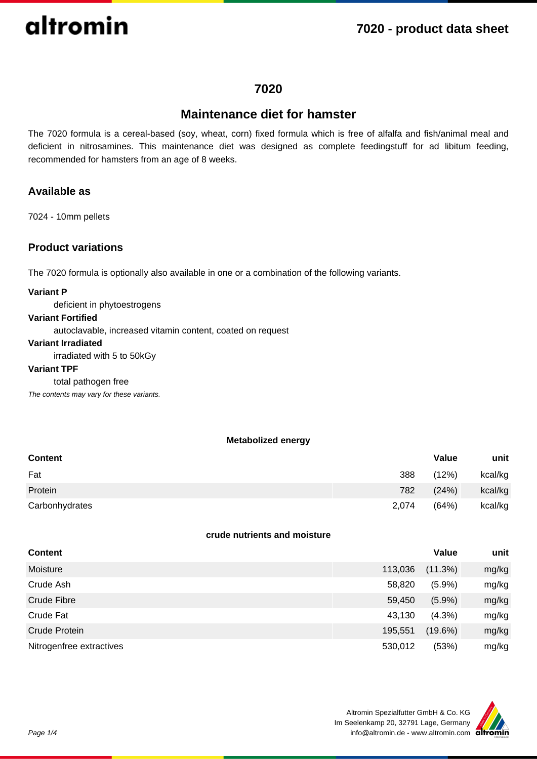### **7020 - product data sheet**

### **7020**

### **Maintenance diet for hamster**

The 7020 formula is a cereal-based (soy, wheat, corn) fixed formula which is free of alfalfa and fish/animal meal and deficient in nitrosamines. This maintenance diet was designed as complete feedingstuff for ad libitum feeding, recommended for hamsters from an age of 8 weeks.

### **Available as**

7024 - 10mm pellets

### **Product variations**

The 7020 formula is optionally also available in one or a combination of the following variants.

### **Variant P**

deficient in phytoestrogens

### **Variant Fortified**

autoclavable, increased vitamin content, coated on request

### **Variant Irradiated**

irradiated with 5 to 50kGy

#### **Variant TPF**

#### total pathogen free

The contents may vary for these variants.

#### **Metabolized energy**

| <b>Content</b> |       | Value | unit    |
|----------------|-------|-------|---------|
| Fat            | 388   | (12%) | kcal/kg |
| Protein        | 782   | (24%) | kcal/kg |
| Carbonhydrates | 2,074 | (64%) | kcal/kg |

### **crude nutrients and moisture**

| <b>Content</b>           |         | Value      | unit  |
|--------------------------|---------|------------|-------|
| Moisture                 | 113,036 | (11.3%)    | mg/kg |
| Crude Ash                | 58,820  | (5.9%)     | mg/kg |
| Crude Fibre              | 59,450  | $(5.9\%)$  | mg/kg |
| Crude Fat                | 43,130  | $(4.3\%)$  | mg/kg |
| Crude Protein            | 195,551 | $(19.6\%)$ | mg/kg |
| Nitrogenfree extractives | 530,012 | (53%)      | mg/kg |

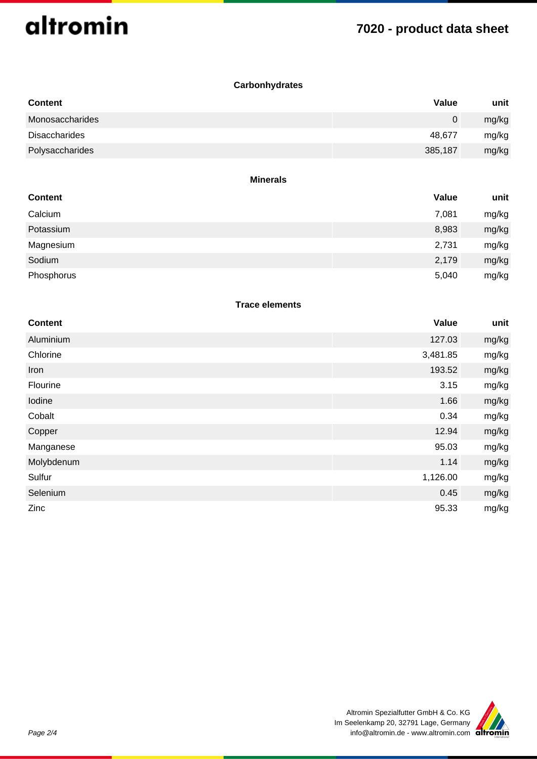## **7020 - product data sheet**

### **Carbonhydrates**

| <b>Content</b>  | Value   | unit  |
|-----------------|---------|-------|
| Monosaccharides | 0       | mg/kg |
| Disaccharides   | 48.677  | mg/kg |
| Polysaccharides | 385,187 | mg/kg |

#### **Minerals**

| <b>Content</b> | Value | unit  |
|----------------|-------|-------|
| Calcium        | 7,081 | mg/kg |
| Potassium      | 8,983 | mg/kg |
| Magnesium      | 2,731 | mg/kg |
| Sodium         | 2,179 | mg/kg |
| Phosphorus     | 5,040 | mg/kg |

### **Trace elements**

| <b>Content</b> | Value    | unit  |
|----------------|----------|-------|
| Aluminium      | 127.03   | mg/kg |
| Chlorine       | 3,481.85 | mg/kg |
| Iron           | 193.52   | mg/kg |
| Flourine       | 3.15     | mg/kg |
| Iodine         | 1.66     | mg/kg |
| Cobalt         | 0.34     | mg/kg |
| Copper         | 12.94    | mg/kg |
| Manganese      | 95.03    | mg/kg |
| Molybdenum     | 1.14     | mg/kg |
| Sulfur         | 1,126.00 | mg/kg |
| Selenium       | 0.45     | mg/kg |
| Zinc           | 95.33    | mg/kg |

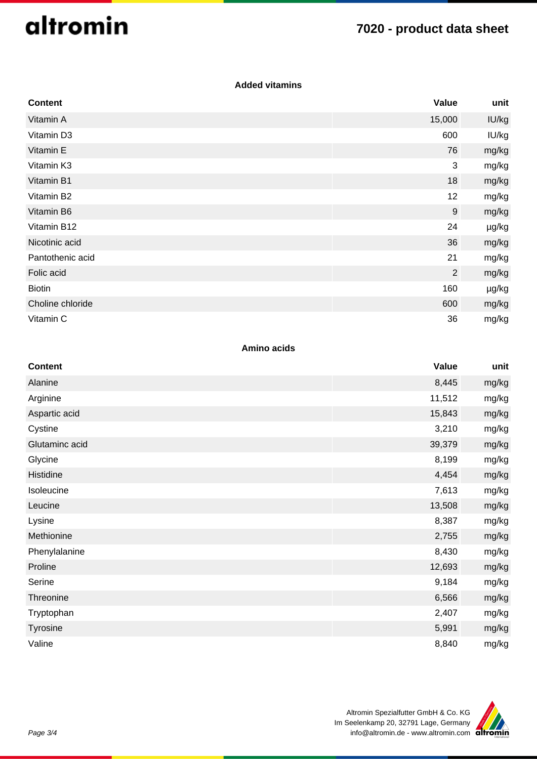## **7020 - product data sheet**

### **Added vitamins**

| <b>Content</b>   | Value          | unit  |
|------------------|----------------|-------|
| Vitamin A        | 15,000         | IU/kg |
| Vitamin D3       | 600            | IU/kg |
| Vitamin E        | 76             | mg/kg |
| Vitamin K3       | 3              | mg/kg |
| Vitamin B1       | 18             | mg/kg |
| Vitamin B2       | 12             | mg/kg |
| Vitamin B6       | 9              | mg/kg |
| Vitamin B12      | 24             | µg/kg |
| Nicotinic acid   | 36             | mg/kg |
| Pantothenic acid | 21             | mg/kg |
| Folic acid       | $\overline{2}$ | mg/kg |
| <b>Biotin</b>    | 160            | µg/kg |
| Choline chloride | 600            | mg/kg |
| Vitamin C        | 36             | mg/kg |

### **Amino acids**

| <b>Content</b> | <b>Value</b> | unit  |
|----------------|--------------|-------|
| Alanine        | 8,445        | mg/kg |
| Arginine       | 11,512       | mg/kg |
| Aspartic acid  | 15,843       | mg/kg |
| Cystine        | 3,210        | mg/kg |
| Glutaminc acid | 39,379       | mg/kg |
| Glycine        | 8,199        | mg/kg |
| Histidine      | 4,454        | mg/kg |
| Isoleucine     | 7,613        | mg/kg |
| Leucine        | 13,508       | mg/kg |
| Lysine         | 8,387        | mg/kg |
| Methionine     | 2,755        | mg/kg |
| Phenylalanine  | 8,430        | mg/kg |
| Proline        | 12,693       | mg/kg |
| Serine         | 9,184        | mg/kg |
| Threonine      | 6,566        | mg/kg |
| Tryptophan     | 2,407        | mg/kg |
| Tyrosine       | 5,991        | mg/kg |
| Valine         | 8,840        | mg/kg |